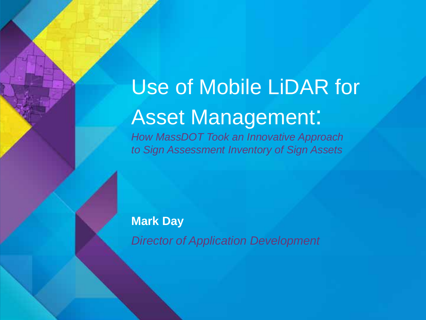### Use of Mobile LiDAR for Asset Management:

*How MassDOT Took an Innovative Approach to Sign Assessment Inventory of Sign Assets*

#### **Mark Day**

*Director of Application Development*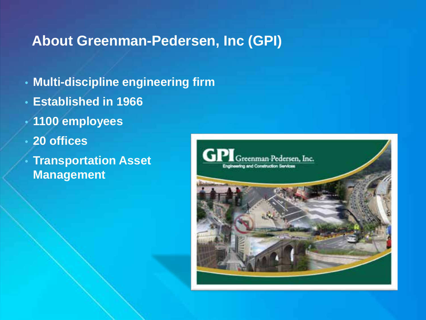#### **About Greenman-Pedersen, Inc (GPI)**

- **Multi-discipline engineering firm**
- **Established in 1966**
- **1100 employees**
- **20 offices** 
	- **Transportation Asset Management**

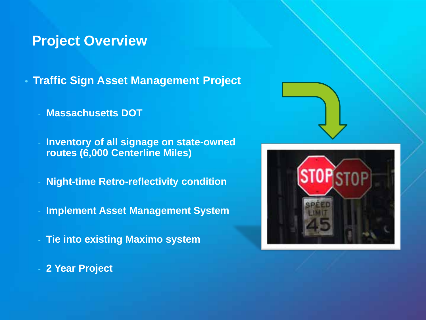#### **Project Overview**

• **Traffic Sign Asset Management Project**

- **Massachusetts DOT**
- **Inventory of all signage on state-owned routes (6,000 Centerline Miles)**
- **Night-time Retro-reflectivity condition**
- **Implement Asset Management System**
- **Tie into existing Maximo system**





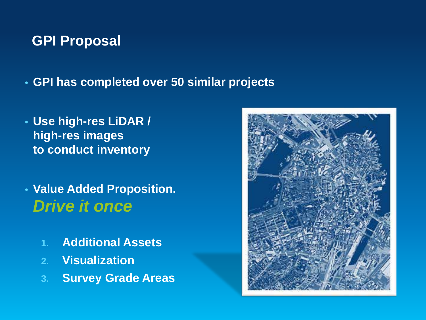#### **GPI Proposal**

• **GPI has completed over 50 similar projects**

- **Use high-res LiDAR / high-res images to conduct inventory**
- **Value Added Proposition.**  *Drive it once*
	- **1. Additional Assets**
	- **2. Visualization**
	- **3. Survey Grade Areas**

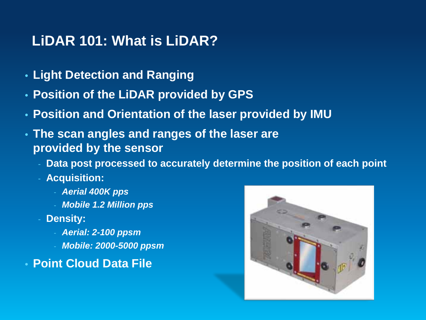#### **LiDAR 101: What is LiDAR?**

- **Light Detection and Ranging**
- **Position of the LiDAR provided by GPS**
- **Position and Orientation of the laser provided by IMU**
- **The scan angles and ranges of the laser are provided by the sensor**
	- **Data post processed to accurately determine the position of each point**
	- **Acquisition:**
		- *Aerial 400K pps*
		- *Mobile 1.2 Million pps*
	- Density:
		- *Aerial: 2-100 ppsm*
		- *Mobile: 2000-5000 ppsm*
- **Point Cloud Data File**

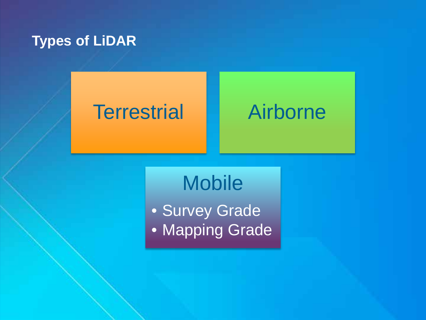#### **Types of LiDAR**

### Terrestrial **Airborne**

### **Mobile**

• Survey Grade • Mapping Grade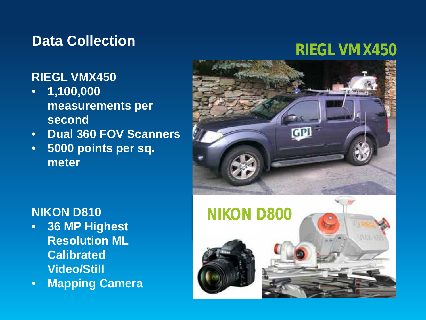#### **Data Collection**

#### **RIEGL VMX450**

- **1,100,000 measurements per second**
- **Dual 360 FOV Scanners**
- **5000 points per sq. meter**

#### **NIKON D810**

- **36 MP Highest Resolution ML Calibrated Video/Still**
- **Mapping Camera**



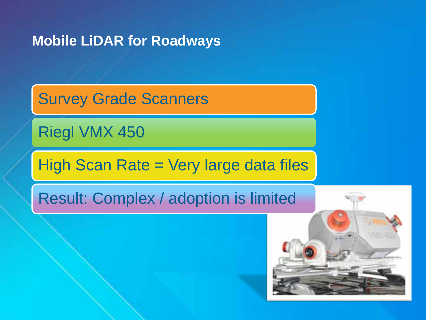#### **Mobile LiDAR for Roadways**

Survey Grade Scanners

Riegl VMX 450

High Scan Rate = Very large data files

Result: Complex / adoption is limited

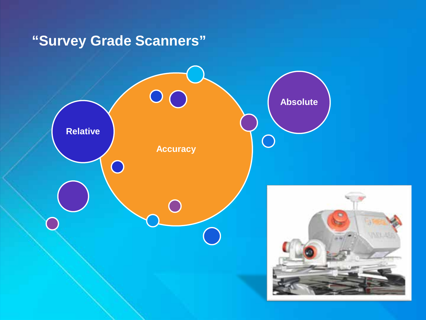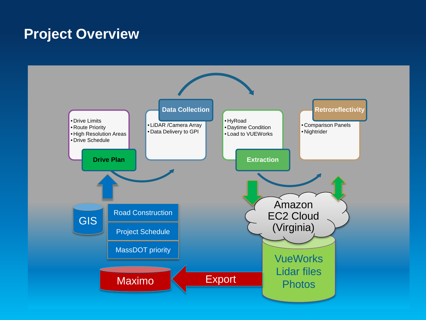#### **Project Overview**

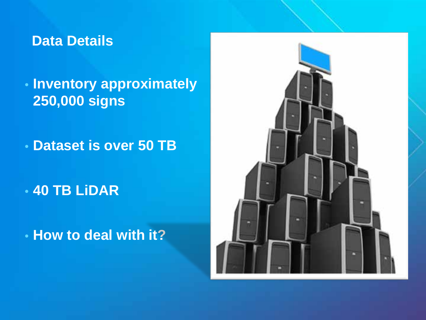#### **Data Details**

### • **Inventory approximately 250,000 signs**

• **Dataset is over 50 TB**

• **40 TB LiDAR**

• **How to deal with it?**

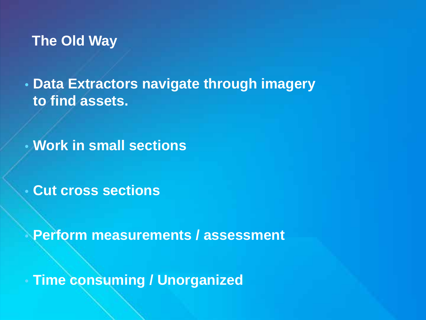#### **The Old Way**

• **Data Extractors navigate through imagery to find assets.**

• **Work in small sections**

• **Cut cross sections**

• **Perform measurements / assessment**

• **Time consuming / Unorganized**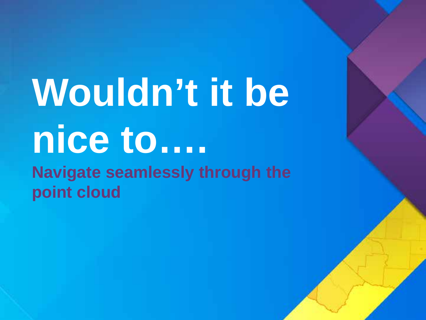# **Wouldn't it be nice to….**

**Navigate seamlessly through the point cloud**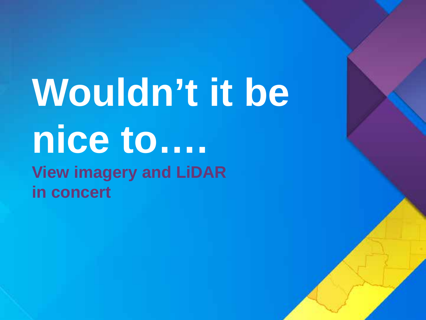## **Wouldn't it be nice to…. View imagery and LiDAR in concert**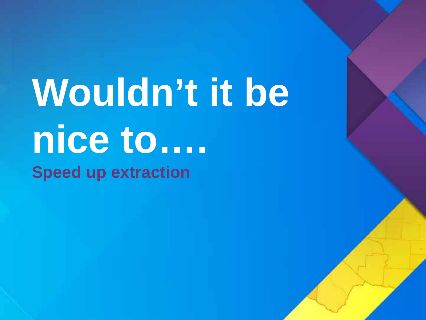# **Wouldn't it be nice to…. Speed up extraction**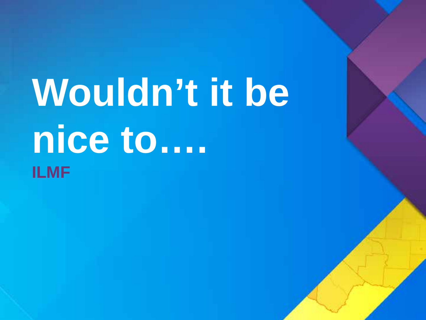# **Wouldn't it be nice to…. ILMF**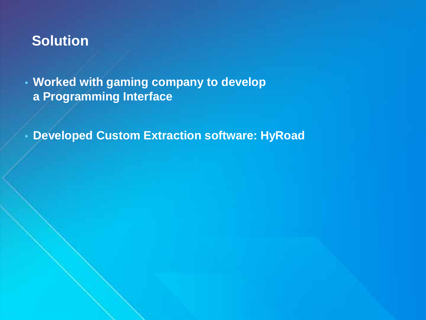#### **Solution**

• **Worked with gaming company to develop a Programming Interface**

• **Developed Custom Extraction software: HyRoad**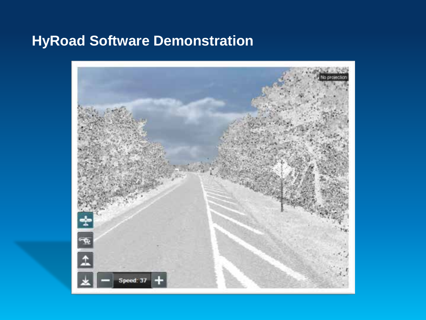#### **HyRoad Software Demonstration**

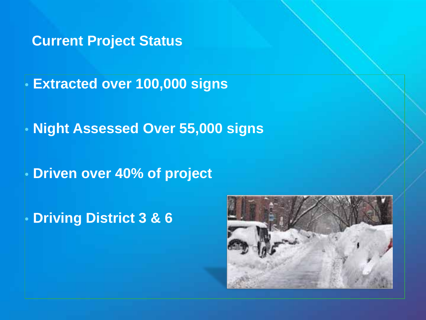**Current Project Status**

• **Extracted over 100,000 signs**

• **Night Assessed Over 55,000 signs**

• **Driven over 40% of project**

• **Driving District 3 & 6**

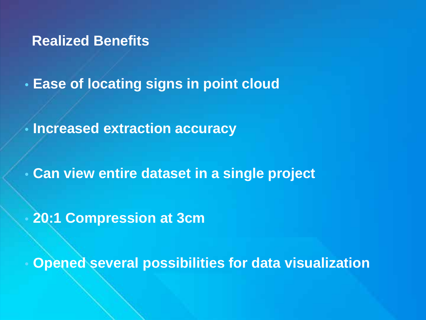**Realized Benefits**

• **Ease of locating signs in point cloud**

• **Increased extraction accuracy**

• **Can view entire dataset in a single project**

• **20:1 Compression at 3cm**

• **Opened several possibilities for data visualization**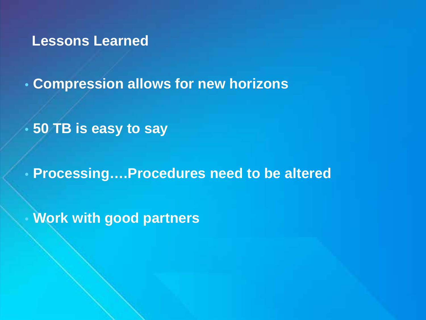**Lessons Learned**

• **Compression allows for new horizons**

• **50 TB is easy to say**

• **Processing….Procedures need to be altered**

• **Work with good partners**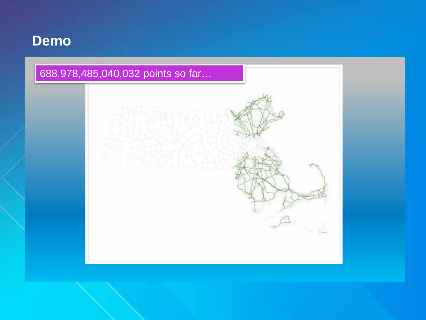#### **Demo**